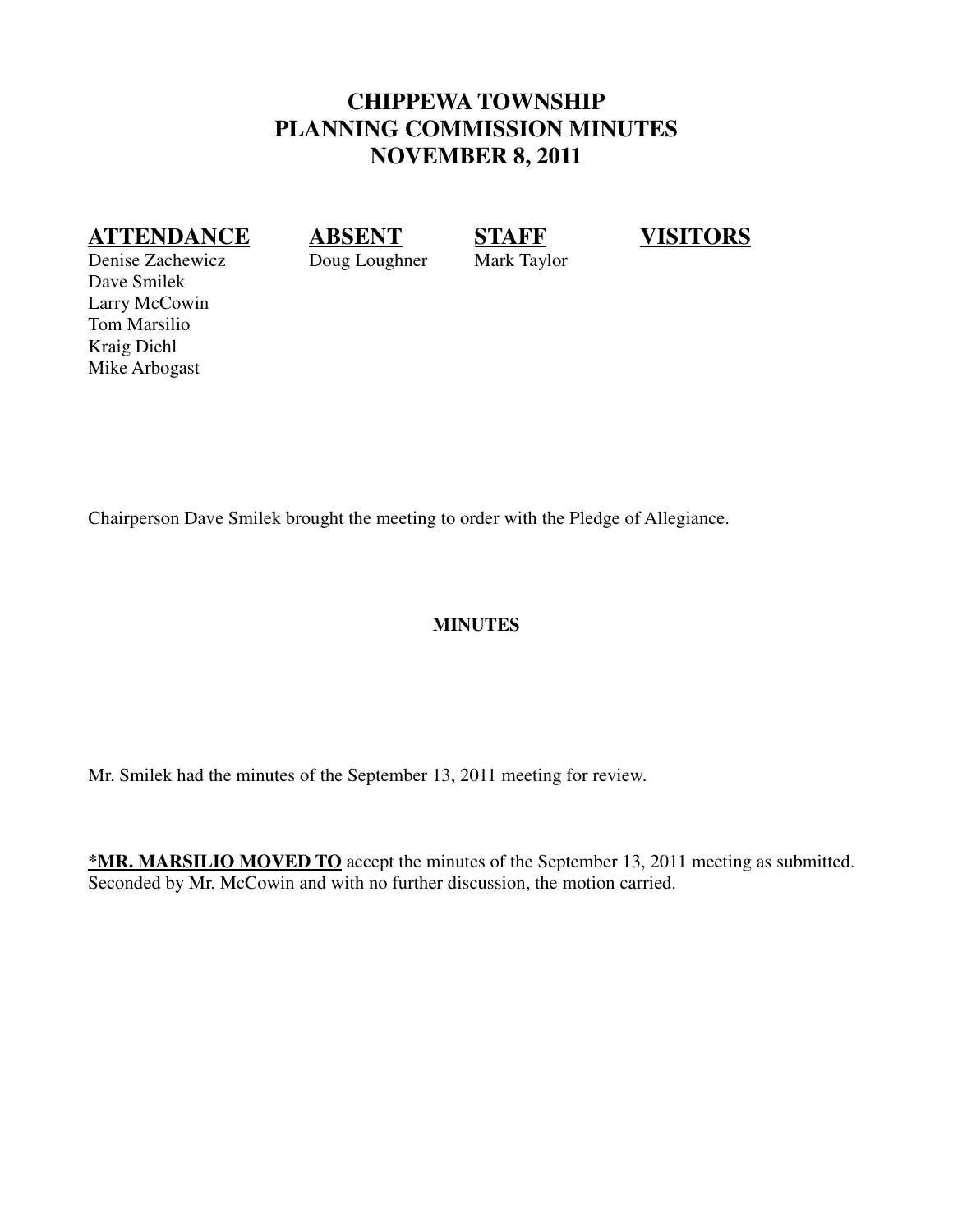## **CHIPPEWA TOWNSHIP PLANNING COMMISSION MINUTES NOVEMBER 8, 2011**

## **ATTENDANCE ABSENT STAFF VISITORS**

Denise Zachewicz Doug Loughner Mark Taylor Dave Smilek Larry McCowin Tom Marsilio Kraig Diehl Mike Arbogast

Chairperson Dave Smilek brought the meeting to order with the Pledge of Allegiance.

#### **MINUTES**

Mr. Smilek had the minutes of the September 13, 2011 meeting for review.

**\*MR. MARSILIO MOVED TO** accept the minutes of the September 13, 2011 meeting as submitted. Seconded by Mr. McCowin and with no further discussion, the motion carried.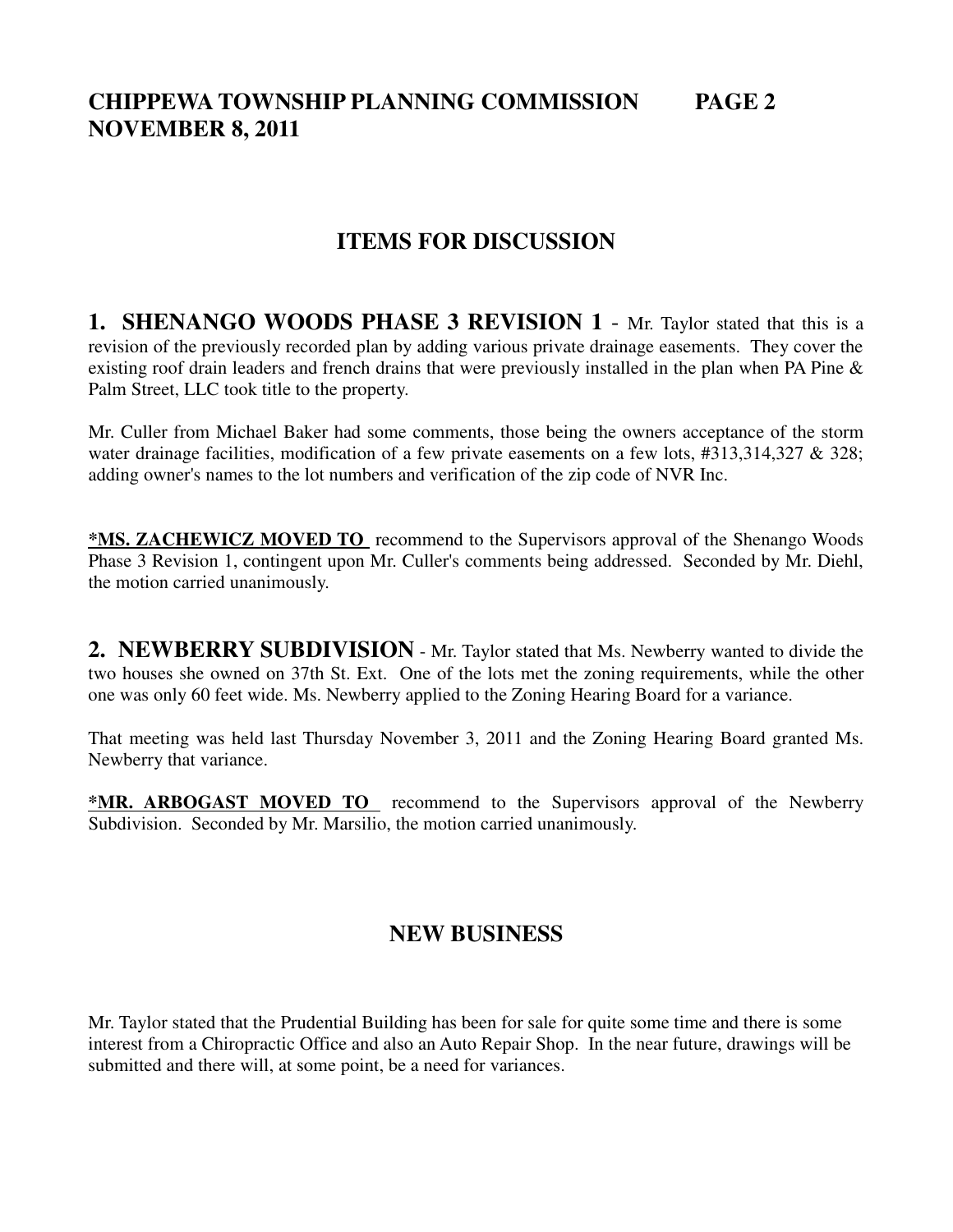## **CHIPPEWA TOWNSHIP PLANNING COMMISSION PAGE 2 NOVEMBER 8, 2011**

## **ITEMS FOR DISCUSSION**

**1. SHENANGO WOODS PHASE 3 REVISION 1** - Mr. Taylor stated that this is a revision of the previously recorded plan by adding various private drainage easements. They cover the existing roof drain leaders and french drains that were previously installed in the plan when PA Pine & Palm Street, LLC took title to the property.

Mr. Culler from Michael Baker had some comments, those being the owners acceptance of the storm water drainage facilities, modification of a few private easements on a few lots, #313,314,327 & 328; adding owner's names to the lot numbers and verification of the zip code of NVR Inc.

**\*MS. ZACHEWICZ MOVED TO** recommend to the Supervisors approval of the Shenango Woods Phase 3 Revision 1, contingent upon Mr. Culler's comments being addressed. Seconded by Mr. Diehl, the motion carried unanimously.

**2. NEWBERRY SUBDIVISION** - Mr. Taylor stated that Ms. Newberry wanted to divide the two houses she owned on 37th St. Ext. One of the lots met the zoning requirements, while the other one was only 60 feet wide. Ms. Newberry applied to the Zoning Hearing Board for a variance.

That meeting was held last Thursday November 3, 2011 and the Zoning Hearing Board granted Ms. Newberry that variance.

**\*MR. ARBOGAST MOVED TO** recommend to the Supervisors approval of the Newberry Subdivision. Seconded by Mr. Marsilio, the motion carried unanimously.

#### **NEW BUSINESS**

Mr. Taylor stated that the Prudential Building has been for sale for quite some time and there is some interest from a Chiropractic Office and also an Auto Repair Shop. In the near future, drawings will be submitted and there will, at some point, be a need for variances.